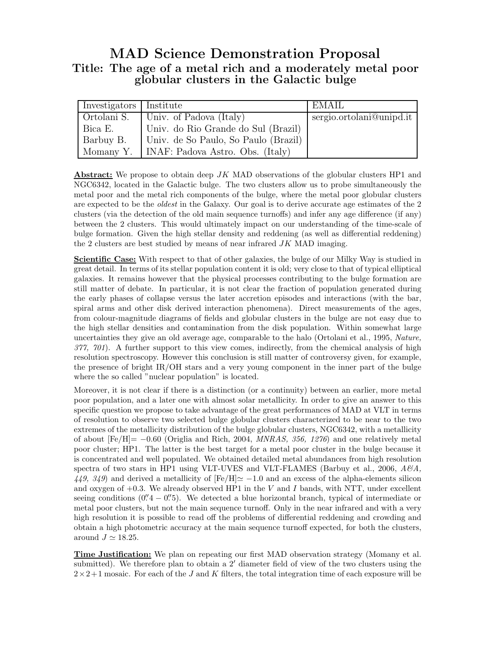## MAD Science Demonstration Proposal Title: The age of a metal rich and a moderately metal poor globular clusters in the Galactic bulge

| Investigators   Institute |                                              | EMAIL                    |
|---------------------------|----------------------------------------------|--------------------------|
| Ortolani S.               | Univ. of Padova (Italy)                      | sergio.ortolani@unipd.it |
| Bica E.                   | Univ. do Rio Grande do Sul (Brazil)          |                          |
| Barbuy B.                 | Univ. de So Paulo, So Paulo (Brazil)         |                          |
|                           | Momany Y.   INAF: Padova Astro. Obs. (Italy) |                          |

**Abstract:** We propose to obtain deep JK MAD observations of the globular clusters HP1 and NGC6342, located in the Galactic bulge. The two clusters allow us to probe simultaneously the metal poor and the metal rich components of the bulge, where the metal poor globular clusters are expected to be the *oldest* in the Galaxy. Our goal is to derive accurate age estimates of the 2 clusters (via the detection of the old main sequence turnoffs) and infer any age difference (if any) between the 2 clusters. This would ultimately impact on our understanding of the time-scale of bulge formation. Given the high stellar density and reddening (as well as differential reddening) the 2 clusters are best studied by means of near infrared  $JK$  MAD imaging.

Scientific Case: With respect to that of other galaxies, the bulge of our Milky Way is studied in great detail. In terms of its stellar population content it is old; very close to that of typical elliptical galaxies. It remains however that the physical processes contributing to the bulge formation are still matter of debate. In particular, it is not clear the fraction of population generated during the early phases of collapse versus the later accretion episodes and interactions (with the bar, spiral arms and other disk derived interaction phenomena). Direct measurements of the ages, from colour-magnitude diagrams of fields and globular clusters in the bulge are not easy due to the high stellar densities and contamination from the disk population. Within somewhat large uncertainties they give an old average age, comparable to the halo (Ortolani et al., 1995, Nature, 377, 701). A further support to this view comes, indirectly, from the chemical analysis of high resolution spectroscopy. However this conclusion is still matter of controversy given, for example, the presence of bright IR/OH stars and a very young component in the inner part of the bulge where the so called "nuclear population" is located.

Moreover, it is not clear if there is a distinction (or a continuity) between an earlier, more metal poor population, and a later one with almost solar metallicity. In order to give an answer to this specific question we propose to take advantage of the great performances of MAD at VLT in terms of resolution to observe two selected bulge globular clusters characterized to be near to the two extremes of the metallicity distribution of the bulge globular clusters, NGC6342, with a metallicity of about  $[Fe/H] = -0.60$  (Origlia and Rich, 2004, *MNRAS*, 356, 1276) and one relatively metal poor cluster; HP1. The latter is the best target for a metal poor cluster in the bulge because it is concentrated and well populated. We obtained detailed metal abundances from high resolution spectra of two stars in HP1 using VLT-UVES and VLT-FLAMES (Barbuy et al., 2006,  $A\mathcal{B}A$ ,  $449, 349$  and derived a metallicity of  $[Fe/H] \approx -1.0$  and an excess of the alpha-elements silicon and oxygen of  $+0.3$ . We already observed HP1 in the V and I bands, with NTT, under excellent seeing conditions  $(0.4 - 0.9)$ . We detected a blue horizontal branch, typical of intermediate or metal poor clusters, but not the main sequence turnoff. Only in the near infrared and with a very high resolution it is possible to read off the problems of differential reddening and crowding and obtain a high photometric accuracy at the main sequence turnoff expected, for both the clusters, around  $J \simeq 18.25$ .

Time Justification: We plan on repeating our first MAD observation strategy (Momany et al. submitted). We therefore plan to obtain a 2′ diameter field of view of the two clusters using the  $2\times2+1$  mosaic. For each of the J and K filters, the total integration time of each exposure will be